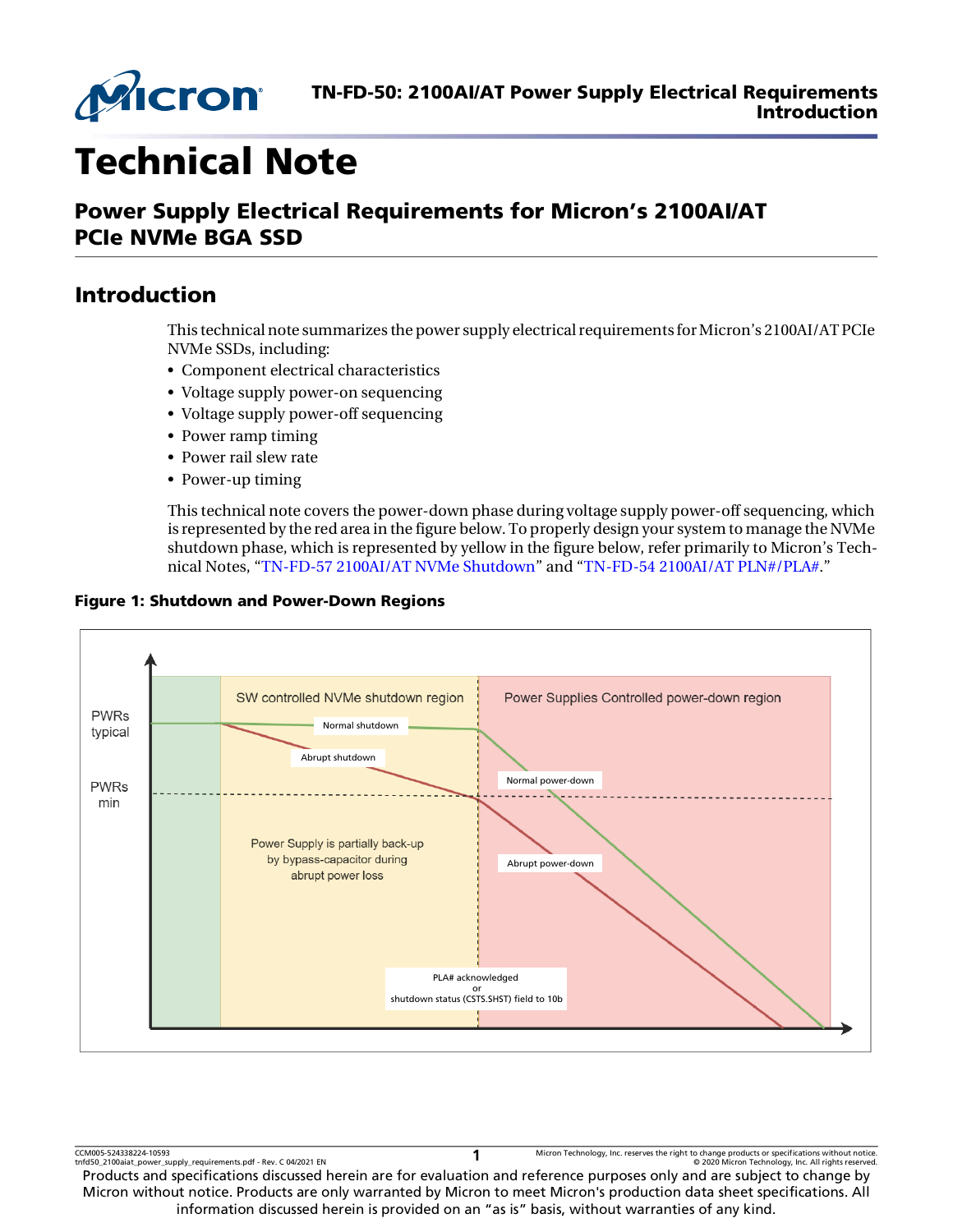

# Technical Note

# Power Supply Electrical Requirements for Micron's 2100AI/AT PCIe NVMe BGA SSD

# Introduction

This technical note summarizes the power supply electrical requirements for Micron's 2100AI/AT PCIe NVMe SSDs, including:

- Component electrical characteristics
- Voltage supply power-on sequencing
- Voltage supply power-off sequencing
- Power ramp timing
- Power rail slew rate
- Power-up timing

This technical note covers the power-down phase during voltage supply power-off sequencing, which is represented by the red area in the figure below. To properly design your system to manage the NVMe shutdown phase, which is represented by yellow in the figure below, refer primarily to Micron's Technical Notes, "TN-FD-57 [2100AI/AT](https://www.micron.com/search-results?searchRequest=%7B%22term%22%3A%22TN-FD-57%22%7D) NVMe Shutdown" and "TN-FD-54 2100AI/AT [PLN#/PLA#](https://www.micron.com/search-results?searchRequest=%7B%22term%22%3A%22TN-FD-54%22%7D)."



#### Figure 1: Shutdown and Power-Down Regions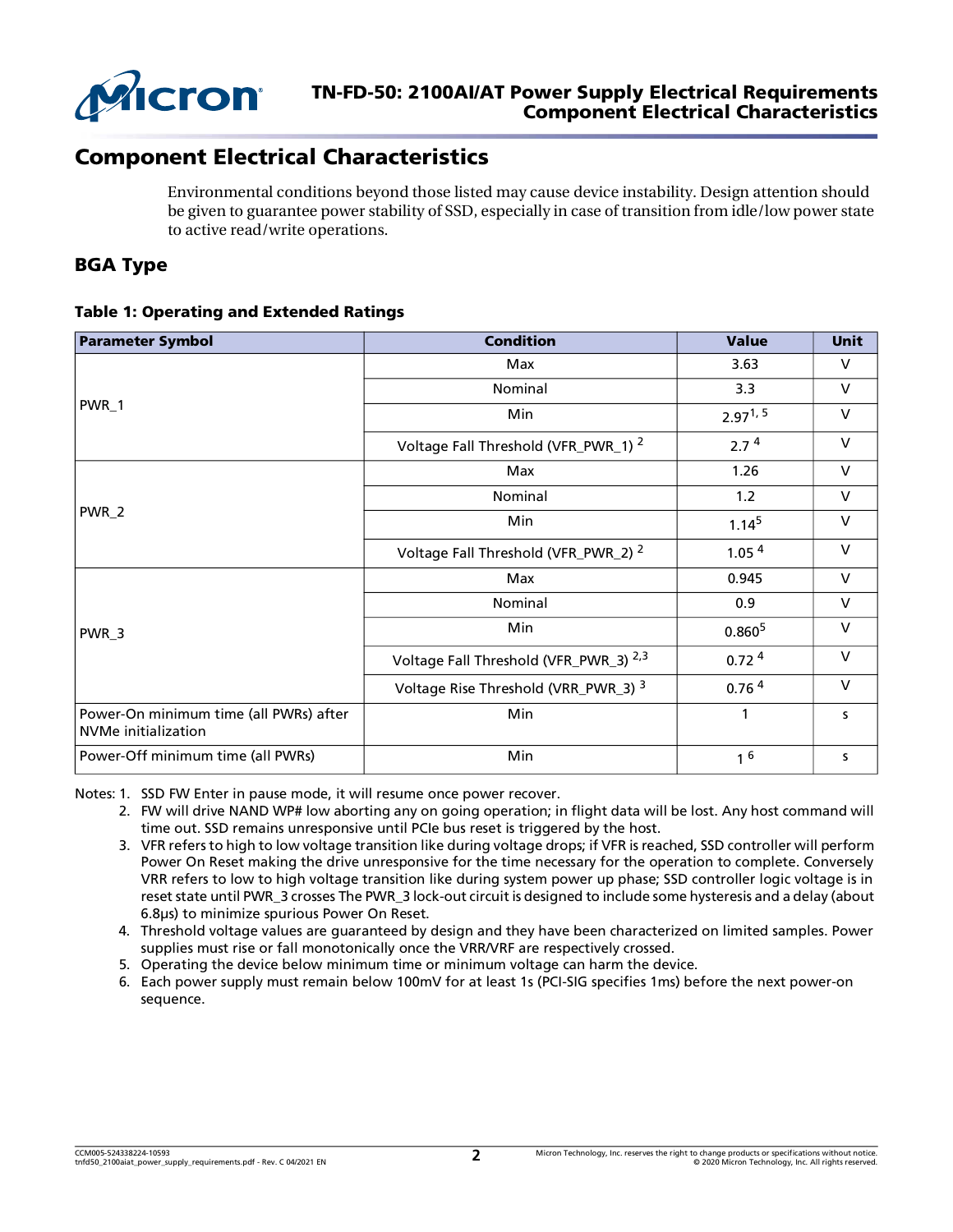

# Component Electrical Characteristics

Environmental conditions beyond those listed may cause device instability. Design attention should be given to guarantee power stability of SSD, especially in case of transition from idle/low power state to active read/write operations.

## BGA Type

#### <span id="page-1-0"></span>Table 1: Operating and Extended Ratings

| <b>Parameter Symbol</b>                                       | <b>Condition</b>                                  | <b>Value</b>       | Unit   |
|---------------------------------------------------------------|---------------------------------------------------|--------------------|--------|
| PWR_1                                                         | Max                                               | 3.63               | V      |
|                                                               | Nominal                                           | 3.3                | $\vee$ |
|                                                               | Min                                               | $2.97^{1,5}$       | $\vee$ |
|                                                               | Voltage Fall Threshold (VFR_PWR_1) <sup>2</sup>   | 2.7 <sup>4</sup>   | $\vee$ |
| PWR_2                                                         | Max                                               | 1.26               | $\vee$ |
|                                                               | Nominal                                           | 1.2                | V      |
|                                                               | Min                                               | 1.14 <sup>5</sup>  | $\vee$ |
|                                                               | Voltage Fall Threshold (VFR_PWR_2) <sup>2</sup>   | 1.05 <sup>4</sup>  | $\vee$ |
| PWR_3                                                         | Max                                               | 0.945              | $\vee$ |
|                                                               | Nominal                                           | 0.9                | $\vee$ |
|                                                               | Min                                               | 0.860 <sup>5</sup> | V      |
|                                                               | Voltage Fall Threshold (VFR_PWR_3) <sup>2,3</sup> | 0.72 <sup>4</sup>  | $\vee$ |
|                                                               | Voltage Rise Threshold (VRR_PWR_3) 3              | 0.76 <sup>4</sup>  | $\vee$ |
| Power-On minimum time (all PWRs) after<br>NVMe initialization | Min                                               | 1                  | S      |
| Power-Off minimum time (all PWRs)                             | Min                                               | 1 <sup>6</sup>     | S      |

Notes: 1. SSD FW Enter in pause mode, it will resume once power recover.

- 2. FW will drive NAND WP# low aborting any on going operation; in flight data will be lost. Any host command will time out. SSD remains unresponsive until PCIe bus reset is triggered by the host.
- 3. VFR refers to high to low voltage transition like during voltage drops; if VFR is reached, SSD controller will perform Power On Reset making the drive unresponsive for the time necessary for the operation to complete. Conversely VRR refers to low to high voltage transition like during system power up phase; SSD controller logic voltage is in reset state until PWR\_3 crosses The PWR\_3 lock-out circuit is designed to include some hysteresis and a delay (about 6.8μs) to minimize spurious Power On Reset.
- 4. Threshold voltage values are guaranteed by design and they have been characterized on limited samples. Power supplies must rise or fall monotonically once the VRR/VRF are respectively crossed.
- 5. Operating the device below minimum time or minimum voltage can harm the device.
- 6. Each power supply must remain below 100mV for at least 1s (PCI-SIG specifies 1ms) before the next power-on sequence.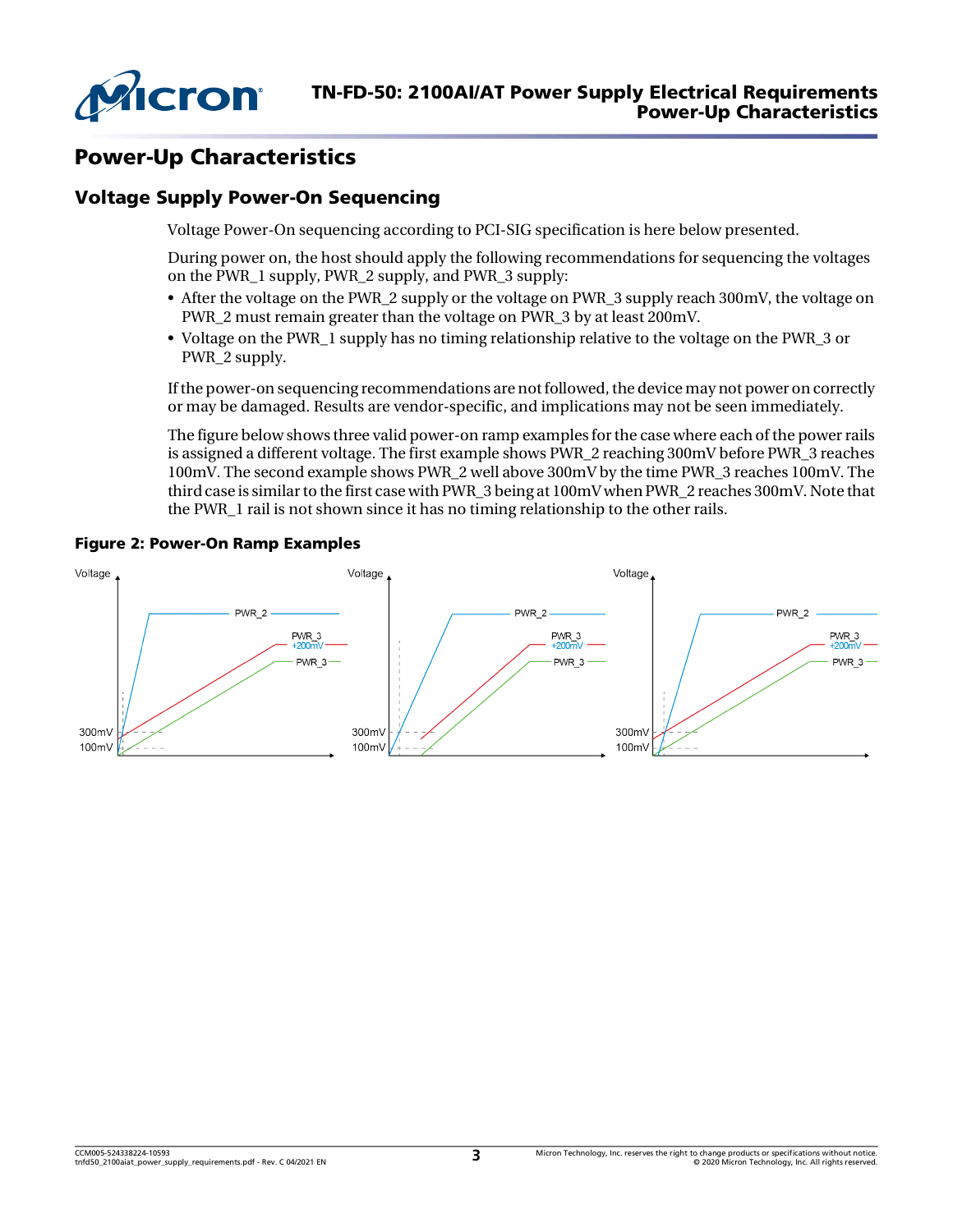

# Power-Up Characteristics

# <span id="page-2-0"></span>Voltage Supply Power-On Sequencing

Voltage Power-On sequencing according to PCI-SIG specification is here below presented.

During power on, the host should apply the following recommendations for sequencing the voltages on the PWR\_1 supply, PWR\_2 supply, and PWR\_3 supply:

- After the voltage on the PWR\_2 supply or the voltage on PWR\_3 supply reach 300mV, the voltage on PWR\_2 must remain greater than the voltage on PWR\_3 by at least 200mV.
- Voltage on the PWR\_1 supply has no timing relationship relative to the voltage on the PWR\_3 or PWR\_2 supply.

If the power-on sequencing recommendations are not followed, the device may not power on correctly or may be damaged. Results are vendor-specific, and implications may not be seen immediately.

The figure below shows three valid power-on ramp examples for the case where each of the power rails is assigned a different voltage. The first example shows PWR\_2 reaching 300mV before PWR\_3 reaches 100mV. The second example shows PWR\_2 well above 300mV by the time PWR\_3 reaches 100mV. The third case is similar to the first case with PWR\_3 being at 100mV when PWR\_2 reaches 300mV. Note that the PWR\_1 rail is not shown since it has no timing relationship to the other rails.



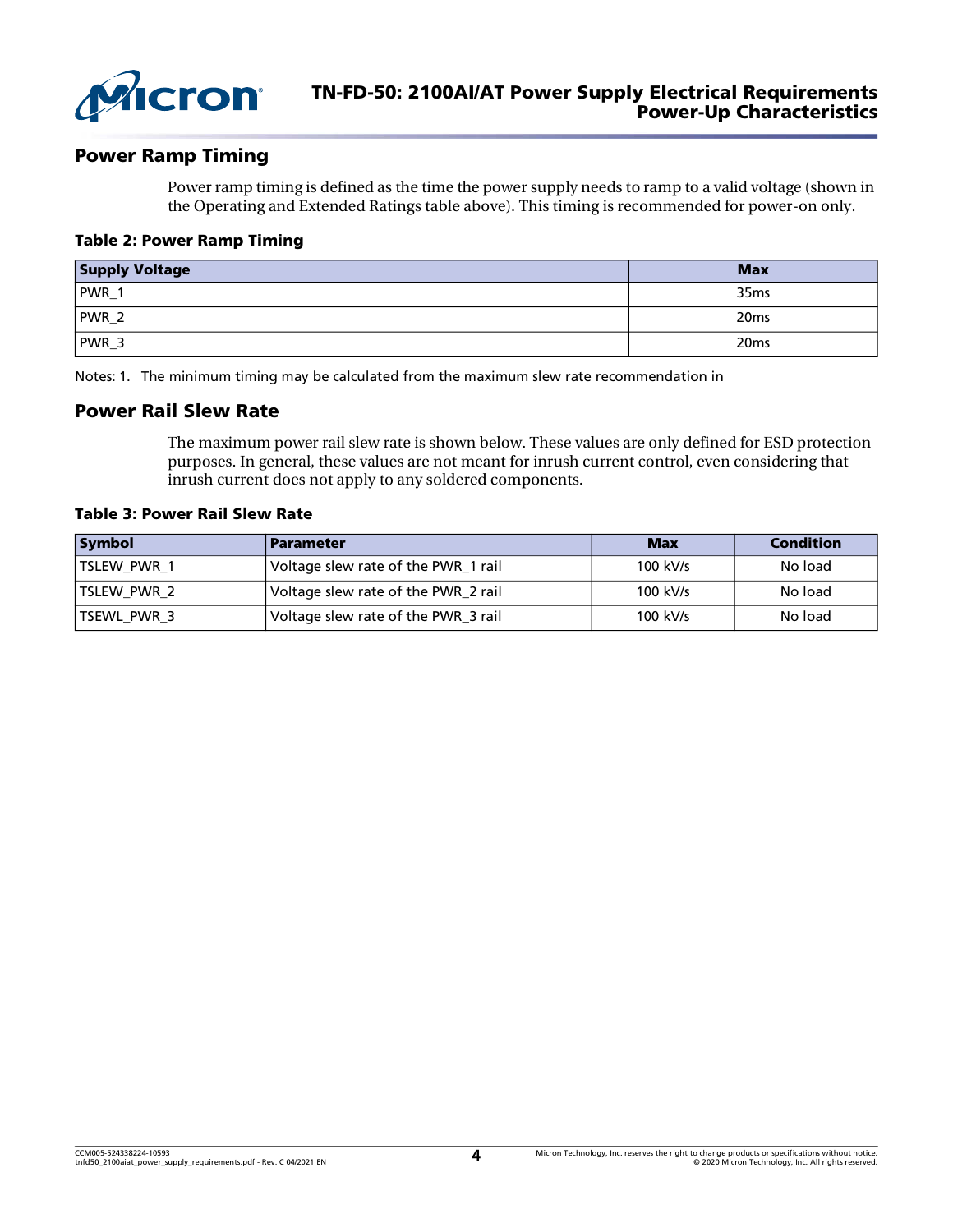

### Power Ramp Timing

<span id="page-3-0"></span>Power ramp timing is defined as the time the power supply needs to ramp to a valid voltage (shown in the Operating and Extended Ratings table above). This timing is recommended for power-on only.

#### Table 2: Power Ramp Timing

| <b>Supply Voltage</b> | <b>Max</b>       |
|-----------------------|------------------|
| PWR_1                 | 35 <sub>ms</sub> |
| PWR_2                 | 20 <sub>ms</sub> |
| PWR_3                 | 20 <sub>ms</sub> |

Notes: 1. The minimum timing may be calculated from the maximum slew rate recommendation in

#### Power Rail Slew Rate

The maximum power rail slew rate is shown below. These values are only defined for ESD protection purposes. In general, these values are not meant for inrush current control, even considering that inrush current does not apply to any soldered components.

#### Table 3: Power Rail Slew Rate

| <b>Symbol</b>       | <b>Parameter</b>                    | <b>Max</b> | <b>Condition</b> |
|---------------------|-------------------------------------|------------|------------------|
| <b>TSLEW PWR 1</b>  | Voltage slew rate of the PWR_1 rail | 100 kV/s   | No load          |
| l TSLEW PWR 2       | Voltage slew rate of the PWR_2 rail | 100 kV/s   | No load          |
| <b>ITSEWL PWR 3</b> | Voltage slew rate of the PWR_3 rail | 100 kV/s   | No load          |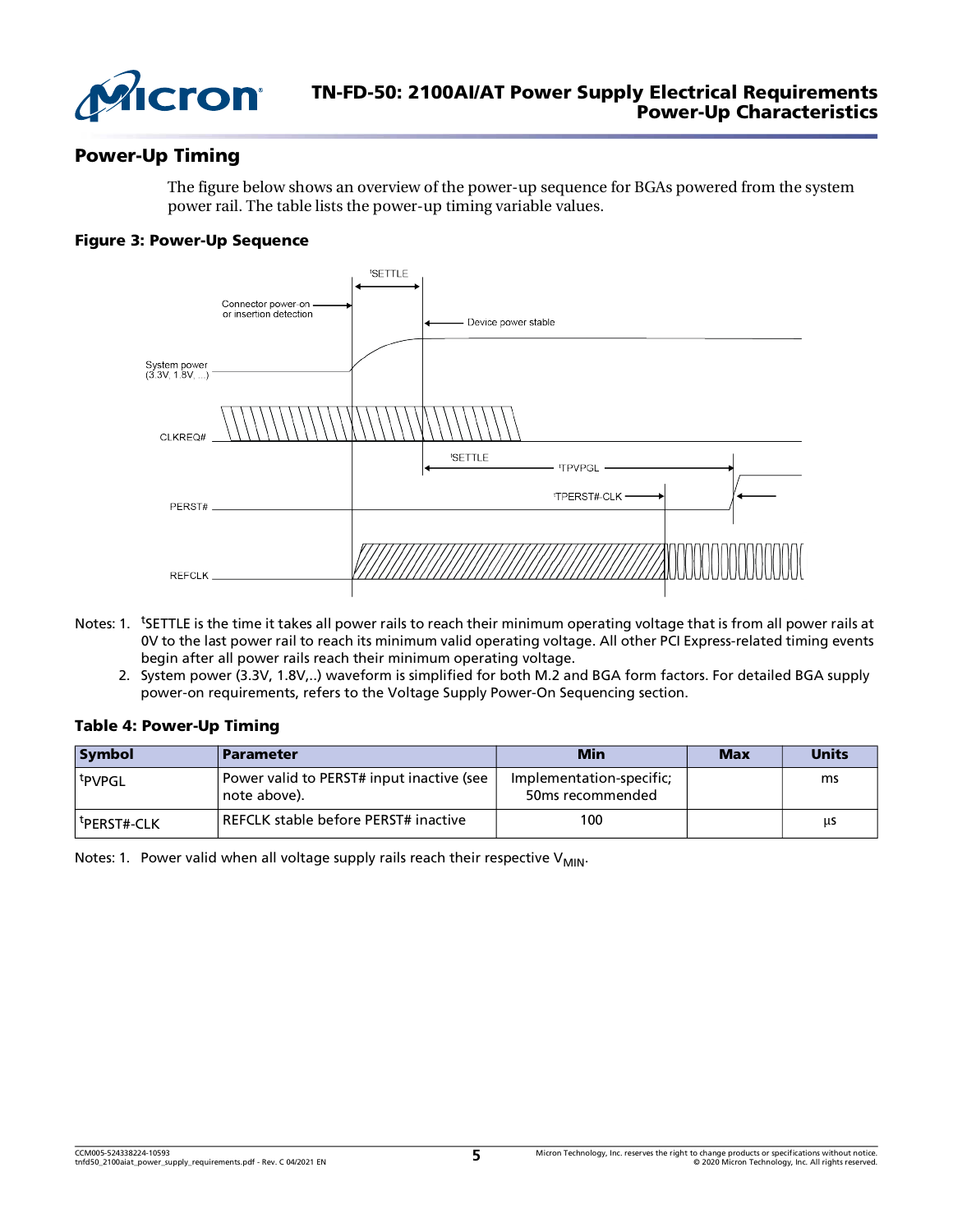

# Power-Up Timing

The figure below shows an overview of the power-up sequence for BGAs powered from the system power rail. The table lists the power-up timing variable values.

#### <span id="page-4-0"></span>Figure 3: Power-Up Sequence



- Notes: 1. <sup>t</sup>SETTLE is the time it takes all power rails to reach their minimum operating voltage that is from all power rails at 0V to the last power rail to reach its minimum valid operating voltage. All other PCI Express-related timing events begin after all power rails reach their minimum operating voltage.
	- 2. System power (3.3V, 1.8V,..) waveform is simplified for both M.2 and BGA form factors. For detailed BGA supply power-on requirements, refers to the Voltage Supply Power-On [Sequencing](#page-2-0) section.

#### Table 4: Power-Up Timing

| <b>Symbol</b>           | Parameter                                                   | <b>Min</b>                                   | <b>Max</b> | <b>Units</b> |
|-------------------------|-------------------------------------------------------------|----------------------------------------------|------------|--------------|
| <sup>t</sup> PVPGL      | Power valid to PERST# input inactive (see<br>l note above). | Implementation-specific;<br>50ms recommended |            | ms           |
| <sup>T</sup> PERST#-CLK | REFCLK stable before PERST# inactive                        | 100                                          |            | μs           |

Notes: 1. Power valid when all voltage supply rails reach their respective  $V_{\text{MIN}}$ .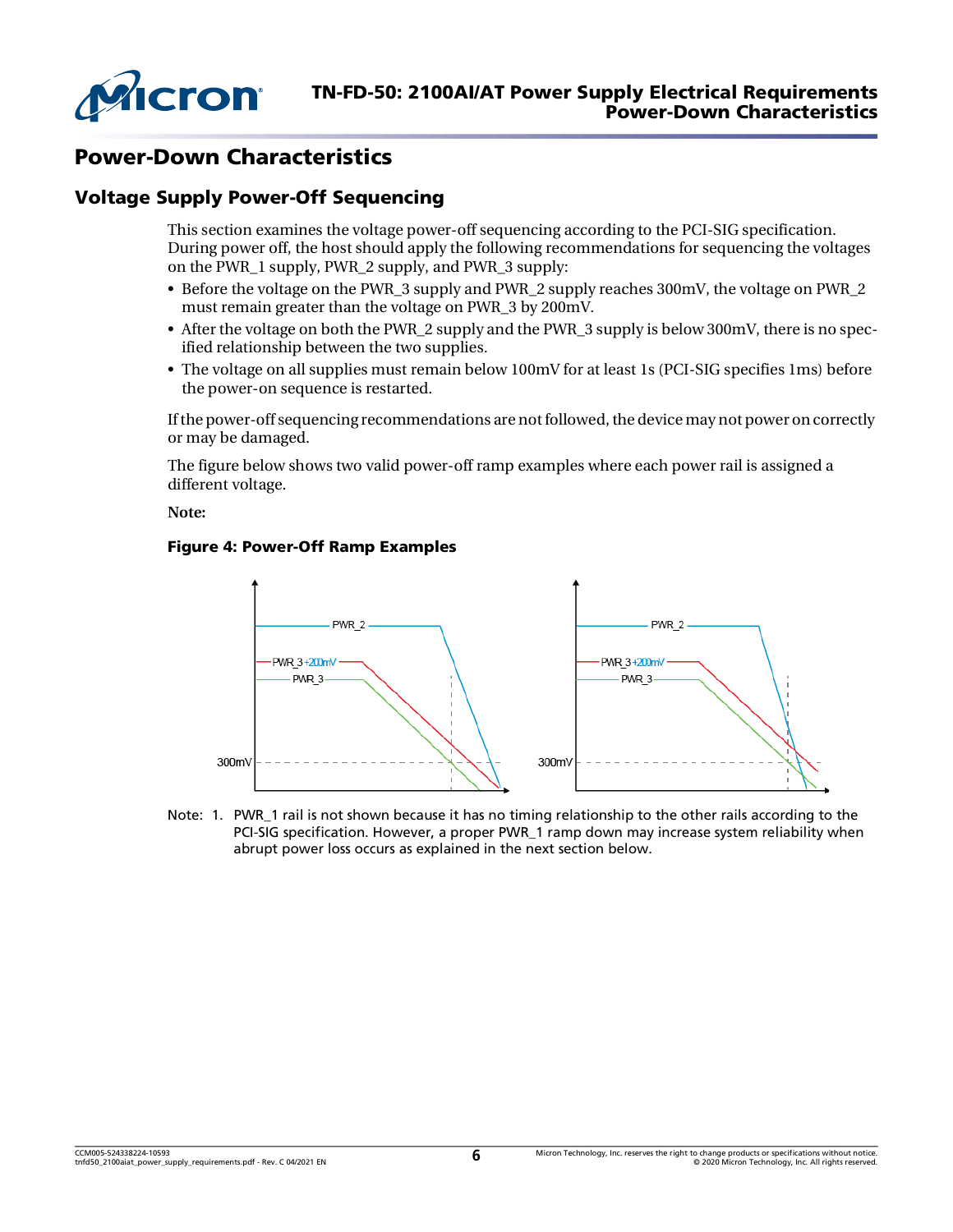

# Power-Down Characteristics

## Voltage Supply Power-Off Sequencing

This section examines the voltage power-off sequencing according to the PCI-SIG specification. During power off, the host should apply the following recommendations for sequencing the voltages on the PWR\_1 supply, PWR\_2 supply, and PWR\_3 supply:

- Before the voltage on the PWR\_3 supply and PWR\_2 supply reaches 300mV, the voltage on PWR\_2 must remain greater than the voltage on PWR\_3 by 200mV.
- After the voltage on both the PWR\_2 supply and the PWR\_3 supply is below 300mV, there is no specified relationship between the two supplies.
- The voltage on all supplies must remain below 100mV for at least 1s (PCI-SIG specifies 1ms) before the power-on sequence is restarted.

If the power-off sequencing recommendations are not followed, the device may not power on correctly or may be damaged.

The figure below shows two valid power-off ramp examples where each power rail is assigned a different voltage.

**Note:**

#### Figure 4: Power-Off Ramp Examples



Note: 1. PWR\_1 rail is not shown because it has no timing relationship to the other rails according to the PCI-SIG specification. However, a proper PWR 1 ramp down may increase system reliability when abrupt power loss occurs as explained in the next section below.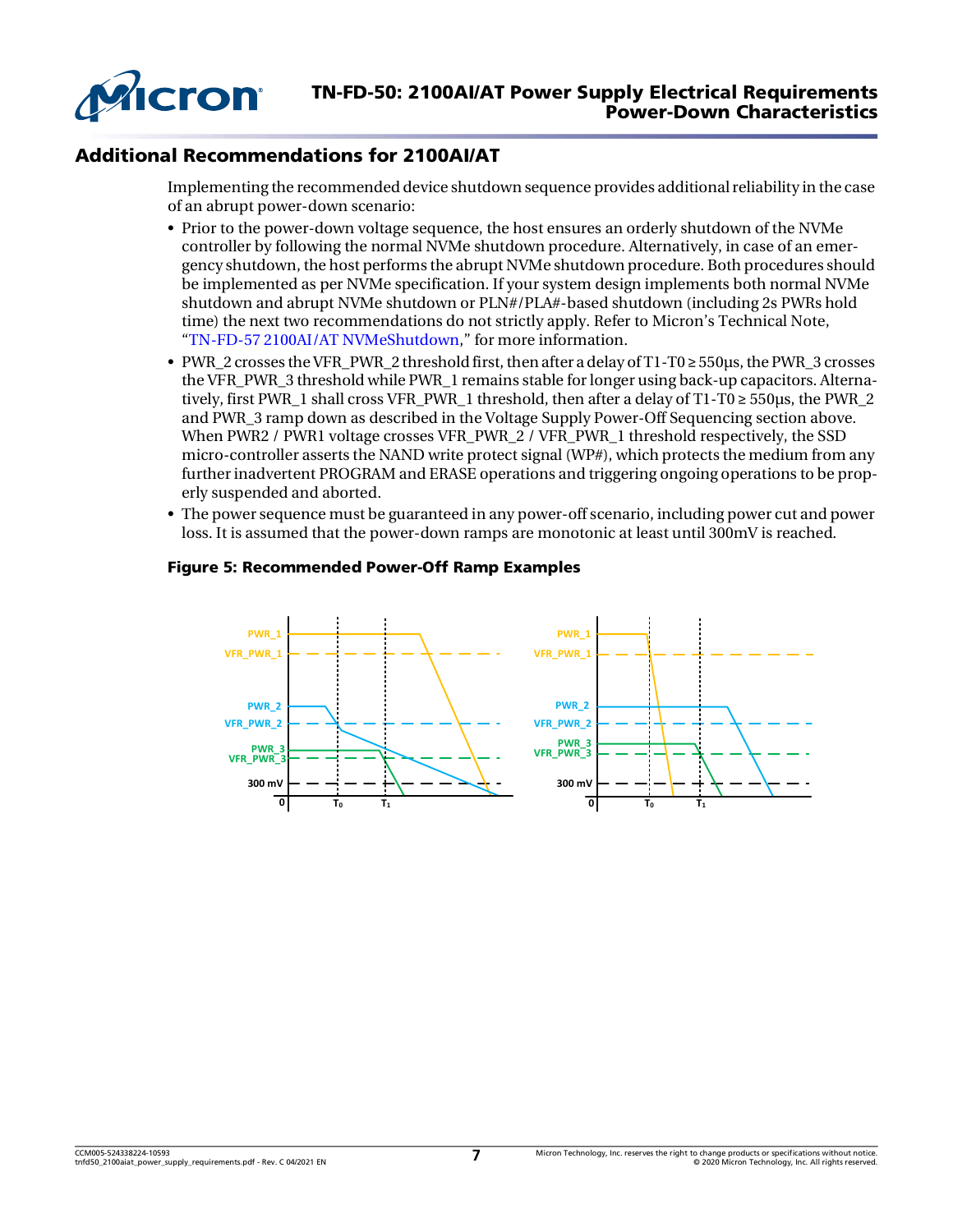

## Additional Recommendations for 2100AI/AT

Implementing the recommended device shutdown sequence provides additionalreliability in the case of an abrupt power-down scenario:

- Prior to the power-down voltage sequence, the host ensures an orderly shutdown of the NVMe controller by following the normal NVMe shutdown procedure. Alternatively, in case of an emergency shutdown, the host performs the abrupt NVMe shutdown procedure. Both procedures should be implemented as per NVMe specification. If your system design implements both normal NVMe shutdown and abrupt NVMe shutdown or PLN#/PLA#-based shutdown (including 2s PWRs hold time) the next two recommendations do not strictly apply. Refer to Micron's Technical Note, "TN-FD-57 2100AI/AT [NVMeShutdown](https://www.micron.com/search-results?searchRequest=%7B%22term%22%3A%22TN-FD-57%22%7D)," for more information.
- PWR\_2 crosses the VFR\_PWR\_2 threshold first, then after a delay of T1-T0  $\geq$  550us, the PWR\_3 crosses the VFR\_PWR\_3 threshold while PWR\_1 remains stable forlonger using back-up capacitors. Alternatively, first PWR\_1 shall cross VFR\_PWR\_1 threshold, then after a delay of T1-T0 ≥ 550μs, the PWR\_2 and PWR\_3 ramp down as described in the Voltage Supply Power-Off Sequencing section above. When PWR2 / PWR1 voltage crosses VFR\_PWR\_2 / VFR\_PWR\_1 threshold respectively, the SSD micro-controller asserts the NAND write protect signal (WP#), which protects the medium from any further inadvertent PROGRAM and ERASE operations and triggering ongoing operations to be properly suspended and aborted.
- The power sequence must be guaranteed in any power-off scenario, including power cut and power loss. It is assumed that the power-down ramps are monotonic at least until 300mV is reached.

#### Figure 5: Recommended Power-Off Ramp Examples

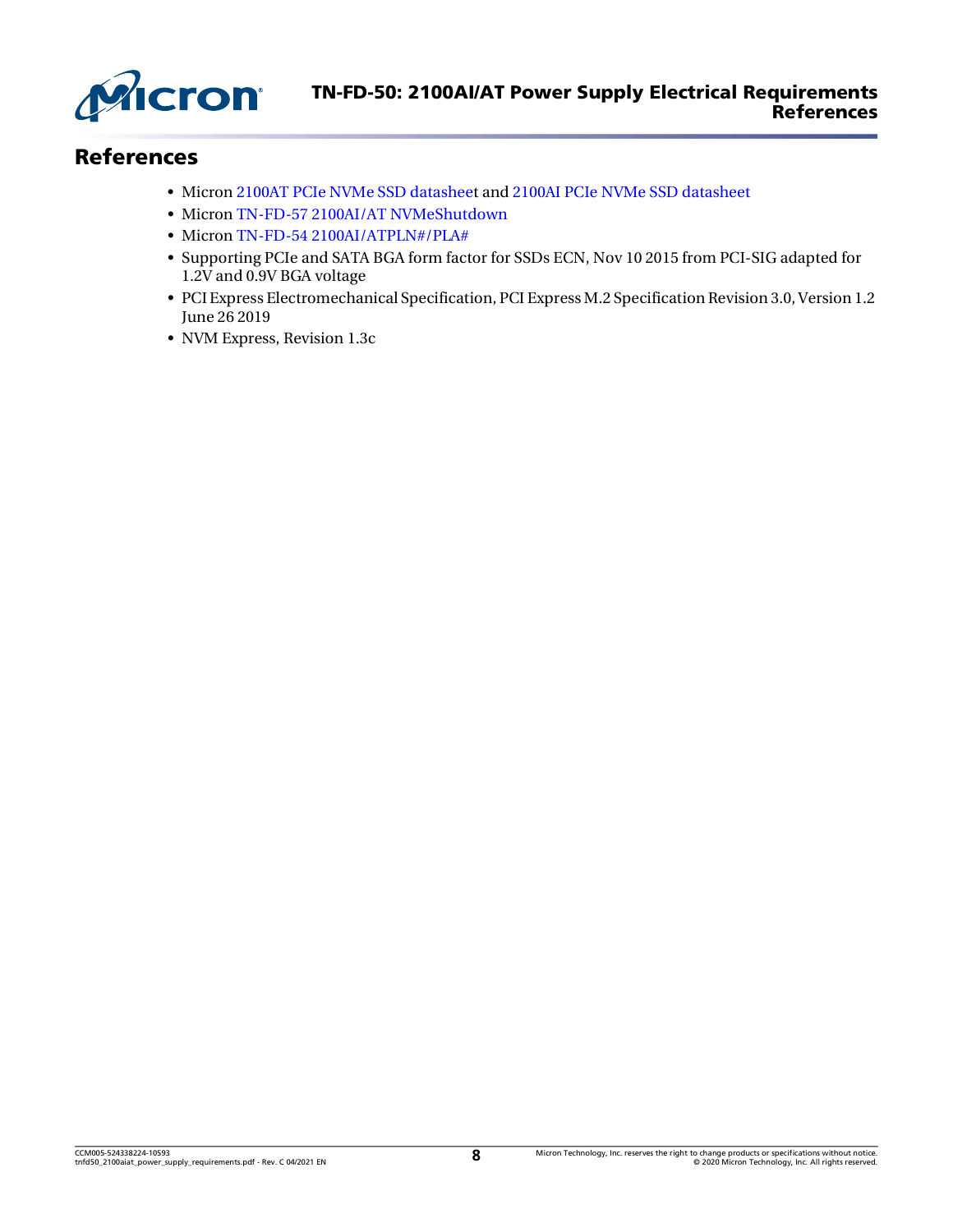

# References

- Micron 2100AT PCIe NVMe SSD [datashee](https://www.micron.com/search-results?searchRequest=%7B%22term%22%3A%222100AT%20Data%20Sheet%22%7D)t and 2100AI PCIe NVMe SSD [datasheet](https://www.micron.com/search-results?searchRequest=%7B%22term%22%3A%222100AI%20Data%20Sheet%22%7D)
- Micron TN-FD-57 2100AI/AT [NVMeShutdown](https://www.micron.com/search-results?searchRequest=%7B%22term%22%3A%22TN-FD-57%22%7D)
- Micron TN-FD-54 [2100AI/ATPLN#/PLA#](https://www.micron.com/search-results?searchRequest=%7B%22term%22%3A%22TN-FD-57%22%7D)
- Supporting PCIe and SATA BGA form factor for SSDs ECN, Nov 10 2015 from PCI-SIG adapted for 1.2V and 0.9V BGA voltage
- PCI Express Electromechanical Specification, PCI Express M.2 Specification Revision 3.0, Version 1.2 June 26 2019
- NVM Express, Revision 1.3c